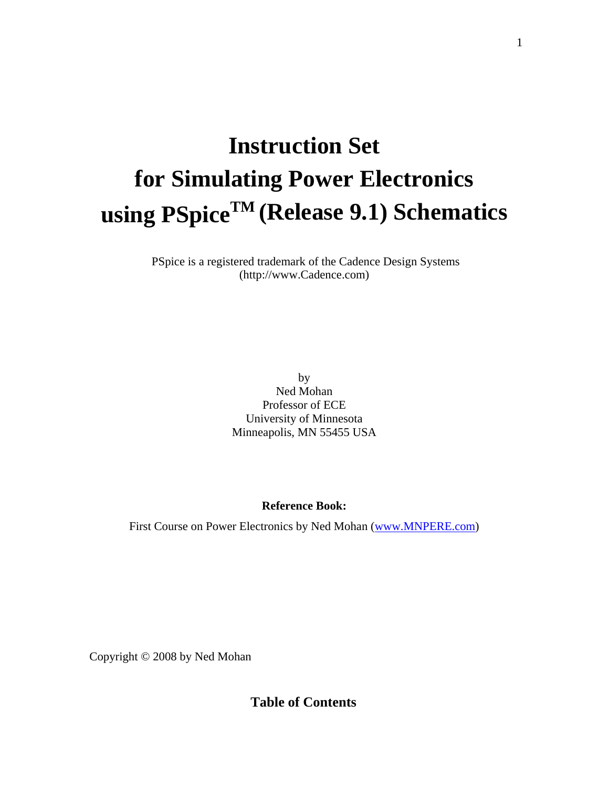# **Instruction Set for Simulating Power Electronics using PSpiceTM (Release 9.1) Schematics**

 PSpice is a registered trademark of the Cadence Design Systems (http://www.Cadence.com)

> by Ned Mohan Professor of ECE University of Minnesota Minneapolis, MN 55455 USA

# **Reference Book:**

First Course on Power Electronics by Ned Mohan (www.MNPERE.com)

Copyright © 2008 by Ned Mohan

**Table of Contents**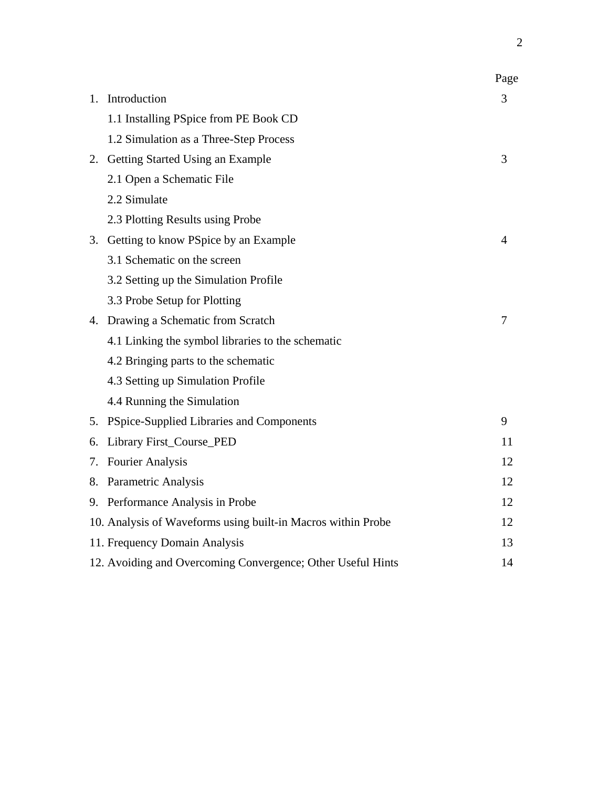|    |                                                              | Page |
|----|--------------------------------------------------------------|------|
| 1. | Introduction                                                 | 3    |
|    | 1.1 Installing PSpice from PE Book CD                        |      |
|    | 1.2 Simulation as a Three-Step Process                       |      |
|    | 2. Getting Started Using an Example                          | 3    |
|    | 2.1 Open a Schematic File                                    |      |
|    | 2.2 Simulate                                                 |      |
|    | 2.3 Plotting Results using Probe                             |      |
|    | 3. Getting to know PSpice by an Example                      | 4    |
|    | 3.1 Schematic on the screen                                  |      |
|    | 3.2 Setting up the Simulation Profile                        |      |
|    | 3.3 Probe Setup for Plotting                                 |      |
|    | 4. Drawing a Schematic from Scratch                          | 7    |
|    | 4.1 Linking the symbol libraries to the schematic            |      |
|    | 4.2 Bringing parts to the schematic                          |      |
|    | 4.3 Setting up Simulation Profile                            |      |
|    | 4.4 Running the Simulation                                   |      |
|    | 5. PSpice-Supplied Libraries and Components                  | 9    |
| 6. | Library First_Course_PED                                     | 11   |
| 7. | <b>Fourier Analysis</b>                                      | 12   |
|    | 8. Parametric Analysis                                       | 12   |
|    | 9. Performance Analysis in Probe                             | 12   |
|    | 10. Analysis of Waveforms using built-in Macros within Probe | 12   |
|    | 11. Frequency Domain Analysis                                | 13   |
|    | 12. Avoiding and Overcoming Convergence; Other Useful Hints  | 14   |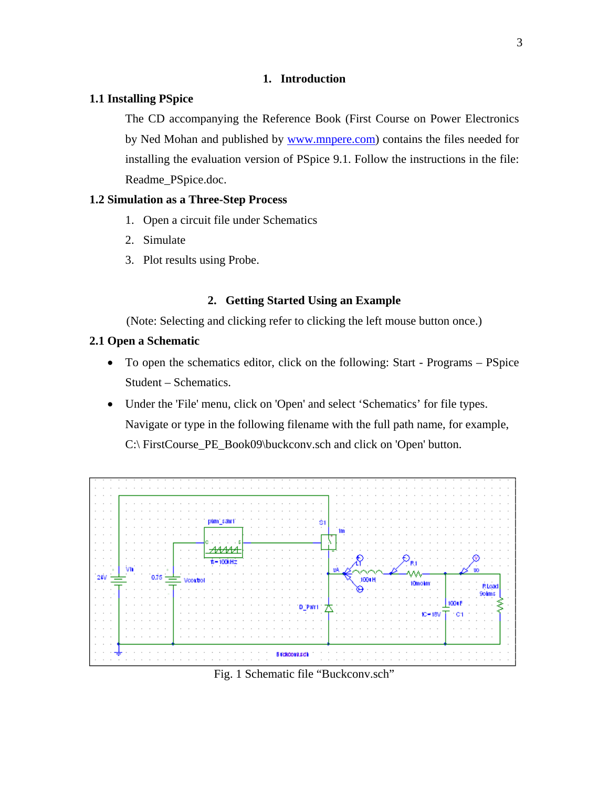# **1. Introduction**

## **1.1 Installing PSpice**

The CD accompanying the Reference Book (First Course on Power Electronics by Ned Mohan and published by www.mnpere.com) contains the files needed for installing the evaluation version of PSpice 9.1. Follow the instructions in the file: Readme\_PSpice.doc.

## **1.2 Simulation as a Three-Step Process**

- 1. Open a circuit file under Schematics
- 2. Simulate
- 3. Plot results using Probe.

## **2. Getting Started Using an Example**

(Note: Selecting and clicking refer to clicking the left mouse button once.)

## **2.1 Open a Schematic**

- To open the schematics editor, click on the following: Start Programs PSpice Student – Schematics.
- Under the 'File' menu, click on 'Open' and select 'Schematics' for file types. Navigate or type in the following filename with the full path name, for example, C:\ FirstCourse\_PE\_Book09\buckconv.sch and click on 'Open' button.



Fig. 1 Schematic file "Buckconv.sch"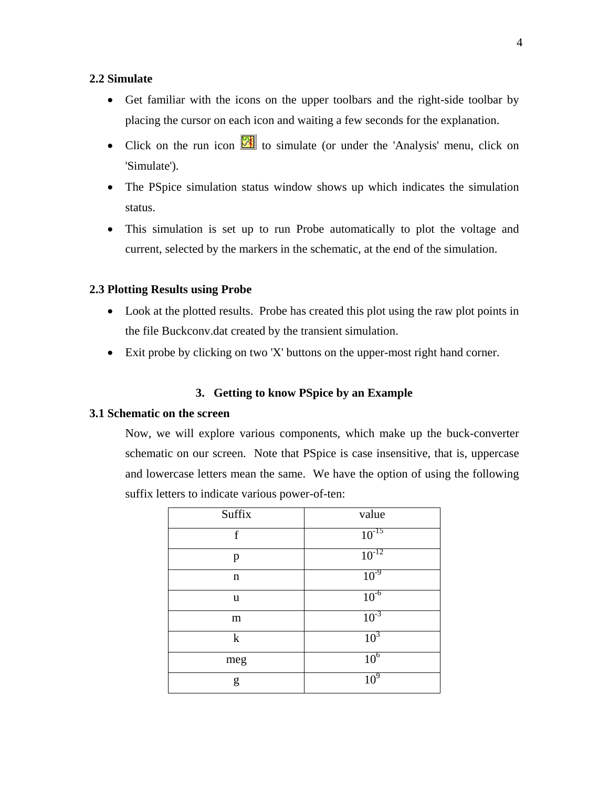# **2.2 Simulate**

- Get familiar with the icons on the upper toolbars and the right-side toolbar by placing the cursor on each icon and waiting a few seconds for the explanation.
- Click on the run icon  $\mathbb{R}$  to simulate (or under the 'Analysis' menu, click on 'Simulate').
- The PSpice simulation status window shows up which indicates the simulation status.
- This simulation is set up to run Probe automatically to plot the voltage and current, selected by the markers in the schematic, at the end of the simulation.

### **2.3 Plotting Results using Probe**

- Look at the plotted results. Probe has created this plot using the raw plot points in the file Buckconv.dat created by the transient simulation.
- Exit probe by clicking on two 'X' buttons on the upper-most right hand corner.

## **3. Getting to know PSpice by an Example**

#### **3.1 Schematic on the screen**

Now, we will explore various components, which make up the buck-converter schematic on our screen. Note that PSpice is case insensitive, that is, uppercase and lowercase letters mean the same. We have the option of using the following suffix letters to indicate various power-of-ten:

| Suffix      | value                      |
|-------------|----------------------------|
| $\mathbf f$ | $10^{-15}$                 |
| p           | $\frac{10^{-12}}{10^{-9}}$ |
| n           |                            |
| u           | $10^{-6}$                  |
| m           | $10^{-3}$                  |
| $\mathbf k$ | 10 <sup>3</sup>            |
| meg         | 10 <sup>6</sup>            |
| g           | 10 <sup>9</sup>            |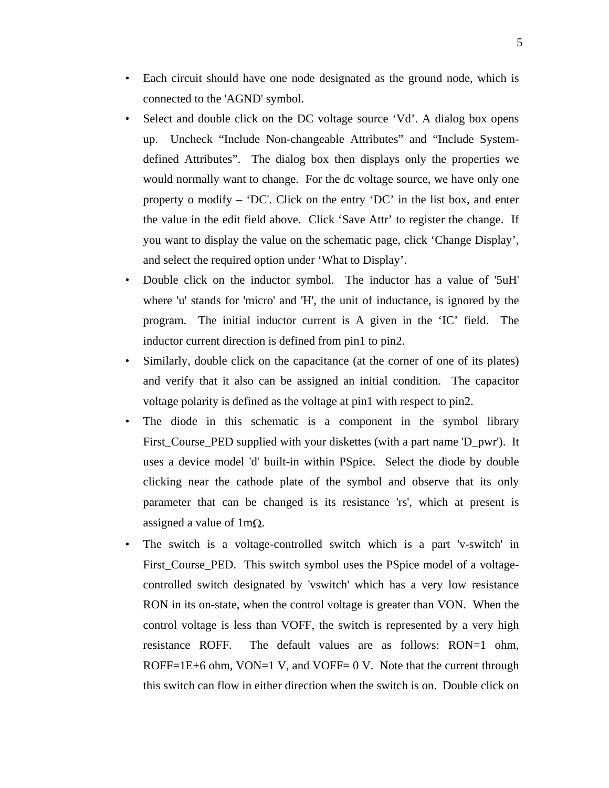- Each circuit should have one node designated as the ground node, which is connected to the 'AGND' symbol.
- Select and double click on the DC voltage source 'Vd'. A dialog box opens up. Uncheck "Include Non-changeable Attributes" and "Include Systemdefined Attributes". The dialog box then displays only the properties we would normally want to change. For the dc voltage source, we have only one property o modify – 'DC'. Click on the entry 'DC' in the list box, and enter the value in the edit field above. Click 'Save Attr' to register the change. If you want to display the value on the schematic page, click 'Change Display', and select the required option under 'What to Display'.
- Double click on the inductor symbol. The inductor has a value of '5uH' where 'u' stands for 'micro' and 'H', the unit of inductance, is ignored by the program. The initial inductor current is A given in the 'IC' field. The inductor current direction is defined from pin1 to pin2.
- Similarly, double click on the capacitance (at the corner of one of its plates) and verify that it also can be assigned an initial condition. The capacitor voltage polarity is defined as the voltage at pin1 with respect to pin2.
- The diode in this schematic is a component in the symbol library First\_Course\_PED supplied with your diskettes (with a part name 'D\_pwr'). It uses a device model 'd' built-in within PSpice. Select the diode by double clicking near the cathode plate of the symbol and observe that its only parameter that can be changed is its resistance 'rs', which at present is assigned a value of  $1 \text{m}\Omega$ .
- The switch is a voltage-controlled switch which is a part 'v-switch' in First\_Course\_PED. This switch symbol uses the PSpice model of a voltagecontrolled switch designated by 'vswitch' which has a very low resistance RON in its on-state, when the control voltage is greater than VON. When the control voltage is less than VOFF, the switch is represented by a very high resistance ROFF. The default values are as follows: RON=1 ohm, ROFF=1E+6 ohm, VON=1 V, and VOFF=  $0 \text{ V}$ . Note that the current through this switch can flow in either direction when the switch is on. Double click on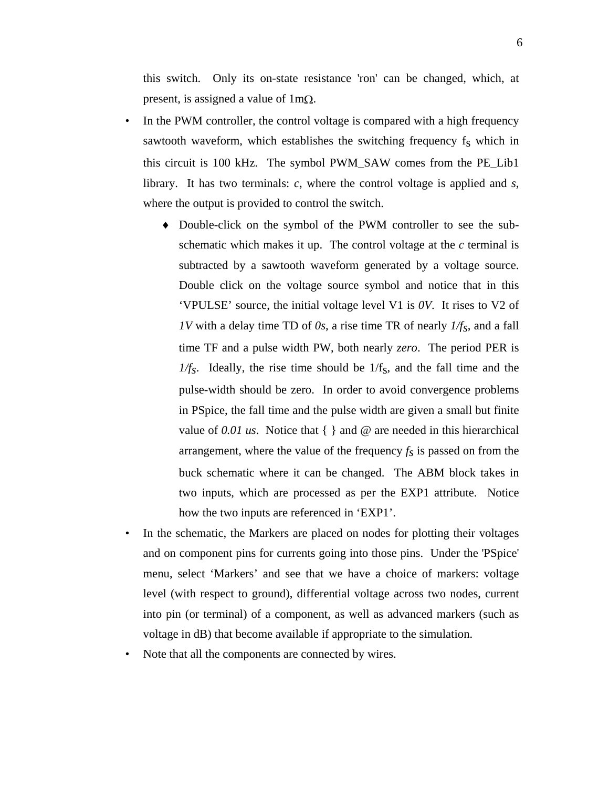this switch. Only its on-state resistance 'ron' can be changed, which, at present, is assigned a value of  $1m\Omega$ .

- In the PWM controller, the control voltage is compared with a high frequency sawtooth waveform, which establishes the switching frequency  $f_s$  which in this circuit is 100 kHz. The symbol PWM\_SAW comes from the PE\_Lib1 library. It has two terminals: *c*, where the control voltage is applied and *s*, where the output is provided to control the switch.
	- ♦ Double-click on the symbol of the PWM controller to see the subschematic which makes it up. The control voltage at the *c* terminal is subtracted by a sawtooth waveform generated by a voltage source. Double click on the voltage source symbol and notice that in this 'VPULSE' source, the initial voltage level V1 is *0V*. It rises to V2 of *1V* with a delay time TD of *0s*, a rise time TR of nearly *1/fs*, and a fall time TF and a pulse width PW, both nearly *zero*. The period PER is  $1/f_s$ . Ideally, the rise time should be  $1/f_s$ , and the fall time and the pulse-width should be zero. In order to avoid convergence problems in PSpice, the fall time and the pulse width are given a small but finite value of *0.01 us*. Notice that { } and @ are needed in this hierarchical arrangement, where the value of the frequency  $f_s$  is passed on from the buck schematic where it can be changed. The ABM block takes in two inputs, which are processed as per the EXP1 attribute. Notice how the two inputs are referenced in 'EXP1'.
- In the schematic, the Markers are placed on nodes for plotting their voltages and on component pins for currents going into those pins. Under the 'PSpice' menu, select 'Markers' and see that we have a choice of markers: voltage level (with respect to ground), differential voltage across two nodes, current into pin (or terminal) of a component, as well as advanced markers (such as voltage in dB) that become available if appropriate to the simulation.
- Note that all the components are connected by wires.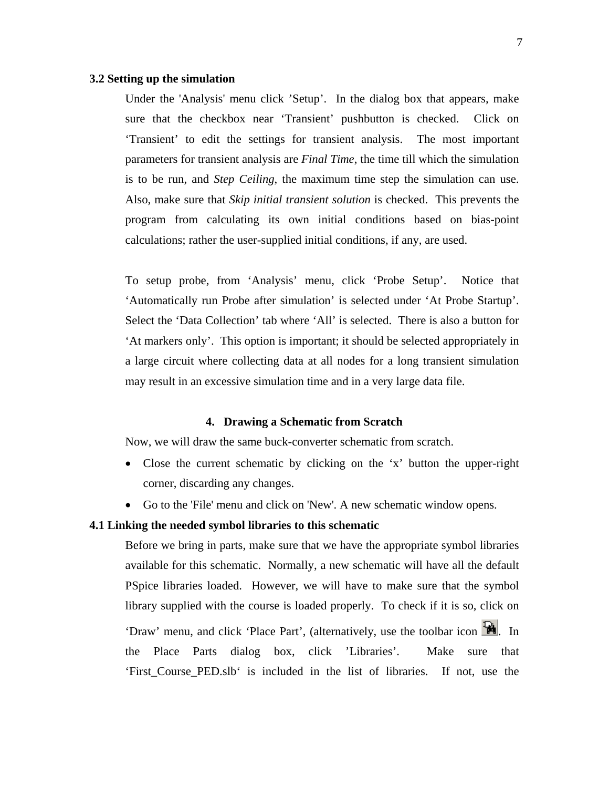#### **3.2 Setting up the simulation**

Under the 'Analysis' menu click 'Setup'. In the dialog box that appears, make sure that the checkbox near 'Transient' pushbutton is checked. Click on 'Transient' to edit the settings for transient analysis. The most important parameters for transient analysis are *Final Time*, the time till which the simulation is to be run, and *Step Ceiling*, the maximum time step the simulation can use. Also, make sure that *Skip initial transient solution* is checked. This prevents the program from calculating its own initial conditions based on bias-point calculations; rather the user-supplied initial conditions, if any, are used.

To setup probe, from 'Analysis' menu, click 'Probe Setup'. Notice that 'Automatically run Probe after simulation' is selected under 'At Probe Startup'. Select the 'Data Collection' tab where 'All' is selected. There is also a button for 'At markers only'. This option is important; it should be selected appropriately in a large circuit where collecting data at all nodes for a long transient simulation may result in an excessive simulation time and in a very large data file.

#### **4. Drawing a Schematic from Scratch**

Now, we will draw the same buck-converter schematic from scratch.

- Close the current schematic by clicking on the 'x' button the upper-right corner, discarding any changes.
- Go to the 'File' menu and click on 'New'. A new schematic window opens.

#### **4.1 Linking the needed symbol libraries to this schematic**

Before we bring in parts, make sure that we have the appropriate symbol libraries available for this schematic. Normally, a new schematic will have all the default PSpice libraries loaded. However, we will have to make sure that the symbol library supplied with the course is loaded properly. To check if it is so, click on 'Draw' menu, and click 'Place Part', (alternatively, use the toolbar icon ... the Place Parts dialog box, click 'Libraries'. Make sure that 'First\_Course\_PED.slb' is included in the list of libraries. If not, use the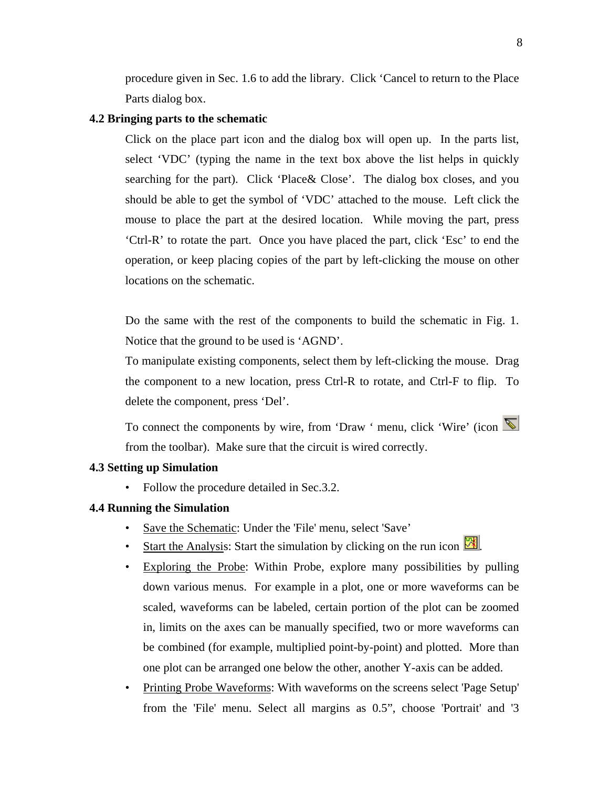procedure given in Sec. 1.6 to add the library. Click 'Cancel to return to the Place Parts dialog box.

#### **4.2 Bringing parts to the schematic**

Click on the place part icon and the dialog box will open up. In the parts list, select 'VDC' (typing the name in the text box above the list helps in quickly searching for the part). Click 'Place& Close'. The dialog box closes, and you should be able to get the symbol of 'VDC' attached to the mouse. Left click the mouse to place the part at the desired location. While moving the part, press 'Ctrl-R' to rotate the part. Once you have placed the part, click 'Esc' to end the operation, or keep placing copies of the part by left-clicking the mouse on other locations on the schematic.

Do the same with the rest of the components to build the schematic in Fig. 1. Notice that the ground to be used is 'AGND'.

To manipulate existing components, select them by left-clicking the mouse. Drag the component to a new location, press Ctrl-R to rotate, and Ctrl-F to flip. To delete the component, press 'Del'.

To connect the components by wire, from 'Draw ' menu, click 'Wire' (icon  $\blacksquare$ from the toolbar). Make sure that the circuit is wired correctly.

#### **4.3 Setting up Simulation**

• Follow the procedure detailed in Sec. 3.2.

## **4.4 Running the Simulation**

- Save the Schematic: Under the 'File' menu, select 'Save'
- Start the Analysis: Start the simulation by clicking on the run icon ...
- Exploring the Probe: Within Probe, explore many possibilities by pulling down various menus. For example in a plot, one or more waveforms can be scaled, waveforms can be labeled, certain portion of the plot can be zoomed in, limits on the axes can be manually specified, two or more waveforms can be combined (for example, multiplied point-by-point) and plotted. More than one plot can be arranged one below the other, another Y-axis can be added.
- Printing Probe Waveforms: With waveforms on the screens select 'Page Setup' from the 'File' menu. Select all margins as 0.5", choose 'Portrait' and '3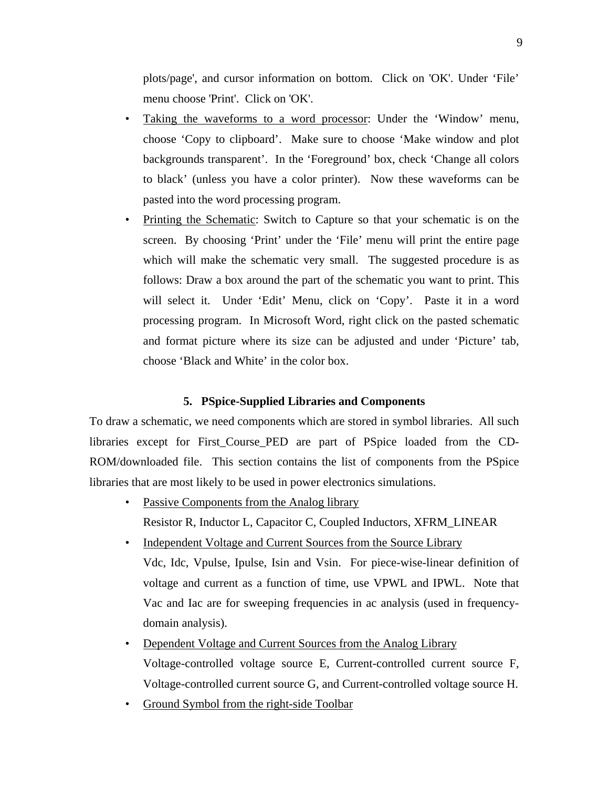plots/page', and cursor information on bottom. Click on 'OK'. Under 'File' menu choose 'Print'. Click on 'OK'.

- Taking the waveforms to a word processor: Under the 'Window' menu, choose 'Copy to clipboard'. Make sure to choose 'Make window and plot backgrounds transparent'. In the 'Foreground' box, check 'Change all colors to black' (unless you have a color printer). Now these waveforms can be pasted into the word processing program.
- Printing the Schematic: Switch to Capture so that your schematic is on the screen. By choosing 'Print' under the 'File' menu will print the entire page which will make the schematic very small. The suggested procedure is as follows: Draw a box around the part of the schematic you want to print. This will select it. Under 'Edit' Menu, click on 'Copy'. Paste it in a word processing program. In Microsoft Word, right click on the pasted schematic and format picture where its size can be adjusted and under 'Picture' tab, choose 'Black and White' in the color box.

### **5. PSpice-Supplied Libraries and Components**

To draw a schematic, we need components which are stored in symbol libraries. All such libraries except for First\_Course\_PED are part of PSpice loaded from the CD-ROM/downloaded file. This section contains the list of components from the PSpice libraries that are most likely to be used in power electronics simulations.

- Passive Components from the Analog library Resistor R, Inductor L, Capacitor C, Coupled Inductors, XFRM\_LINEAR
- Independent Voltage and Current Sources from the Source Library Vdc, Idc, Vpulse, Ipulse, Isin and Vsin. For piece-wise-linear definition of voltage and current as a function of time, use VPWL and IPWL. Note that Vac and Iac are for sweeping frequencies in ac analysis (used in frequencydomain analysis).
- Dependent Voltage and Current Sources from the Analog Library Voltage-controlled voltage source E, Current-controlled current source F, Voltage-controlled current source G, and Current-controlled voltage source H.
- Ground Symbol from the right-side Toolbar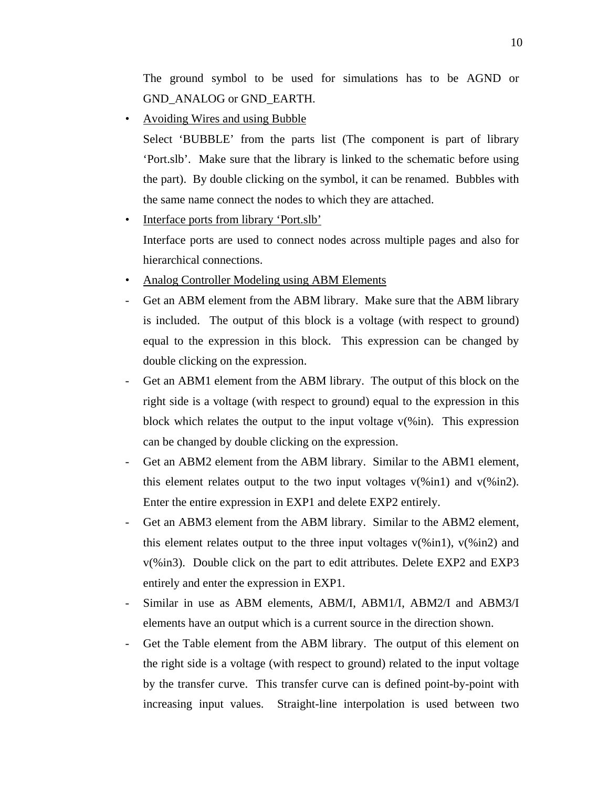The ground symbol to be used for simulations has to be AGND or GND\_ANALOG or GND\_EARTH.

• Avoiding Wires and using Bubble

Select 'BUBBLE' from the parts list (The component is part of library 'Port.slb'. Make sure that the library is linked to the schematic before using the part). By double clicking on the symbol, it can be renamed. Bubbles with the same name connect the nodes to which they are attached.

- Interface ports from library 'Port.slb' Interface ports are used to connect nodes across multiple pages and also for hierarchical connections.
- Analog Controller Modeling using ABM Elements
- Get an ABM element from the ABM library. Make sure that the ABM library is included. The output of this block is a voltage (with respect to ground) equal to the expression in this block. This expression can be changed by double clicking on the expression.
- Get an ABM1 element from the ABM library. The output of this block on the right side is a voltage (with respect to ground) equal to the expression in this block which relates the output to the input voltage  $v$ (%in). This expression can be changed by double clicking on the expression.
- Get an ABM2 element from the ABM library. Similar to the ABM1 element, this element relates output to the two input voltages  $v(\%$  in1) and  $v(\%$  in2). Enter the entire expression in EXP1 and delete EXP2 entirely.
- Get an ABM3 element from the ABM library. Similar to the ABM2 element, this element relates output to the three input voltages  $v(\%$  in1),  $v(\%$  in2) and v(%in3). Double click on the part to edit attributes. Delete EXP2 and EXP3 entirely and enter the expression in EXP1.
- Similar in use as ABM elements, ABM/I, ABM1/I, ABM2/I and ABM3/I elements have an output which is a current source in the direction shown.
- Get the Table element from the ABM library. The output of this element on the right side is a voltage (with respect to ground) related to the input voltage by the transfer curve. This transfer curve can is defined point-by-point with increasing input values. Straight-line interpolation is used between two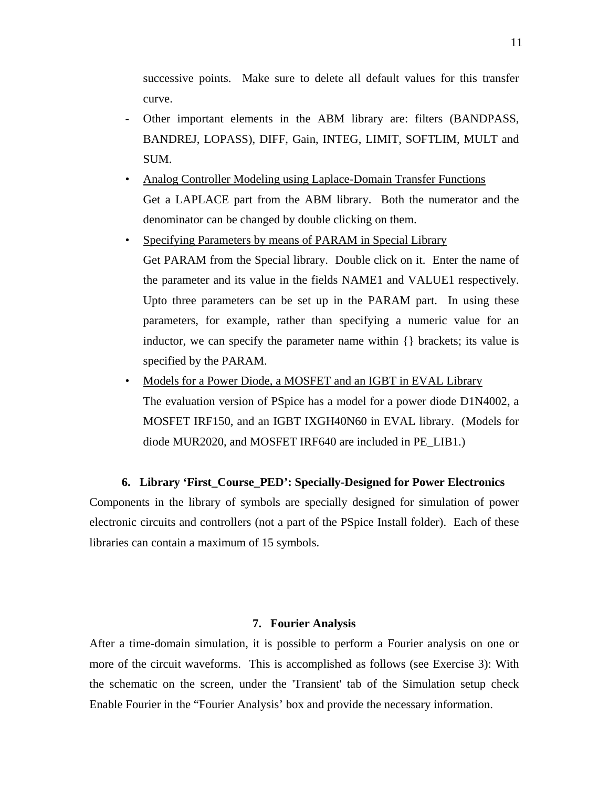successive points. Make sure to delete all default values for this transfer curve.

- Other important elements in the ABM library are: filters (BANDPASS, BANDREJ, LOPASS), DIFF, Gain, INTEG, LIMIT, SOFTLIM, MULT and SUM.
- Analog Controller Modeling using Laplace-Domain Transfer Functions Get a LAPLACE part from the ABM library. Both the numerator and the denominator can be changed by double clicking on them.
- Specifying Parameters by means of PARAM in Special Library Get PARAM from the Special library. Double click on it. Enter the name of the parameter and its value in the fields NAME1 and VALUE1 respectively. Upto three parameters can be set up in the PARAM part. In using these parameters, for example, rather than specifying a numeric value for an inductor, we can specify the parameter name within {} brackets; its value is specified by the PARAM.
- Models for a Power Diode, a MOSFET and an IGBT in EVAL Library The evaluation version of PSpice has a model for a power diode D1N4002, a MOSFET IRF150, and an IGBT IXGH40N60 in EVAL library. (Models for diode MUR2020, and MOSFET IRF640 are included in PE\_LIB1.)

### **6. Library 'First\_Course\_PED': Specially-Designed for Power Electronics**

Components in the library of symbols are specially designed for simulation of power electronic circuits and controllers (not a part of the PSpice Install folder). Each of these libraries can contain a maximum of 15 symbols.

## **7. Fourier Analysis**

After a time-domain simulation, it is possible to perform a Fourier analysis on one or more of the circuit waveforms. This is accomplished as follows (see Exercise 3): With the schematic on the screen, under the 'Transient' tab of the Simulation setup check Enable Fourier in the "Fourier Analysis' box and provide the necessary information.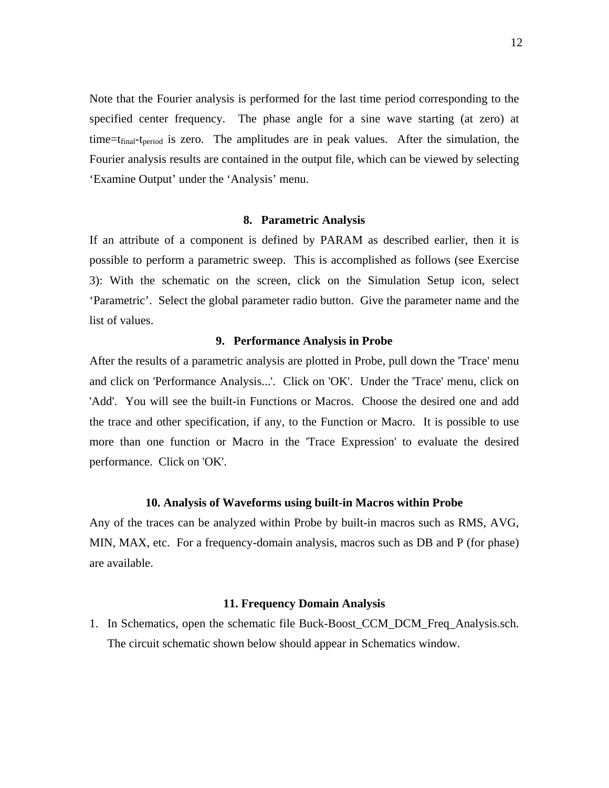Note that the Fourier analysis is performed for the last time period corresponding to the specified center frequency. The phase angle for a sine wave starting (at zero) at time= $t_{final}$ - $t_{period}$  is zero. The amplitudes are in peak values. After the simulation, the Fourier analysis results are contained in the output file, which can be viewed by selecting 'Examine Output' under the 'Analysis' menu.

#### **8. Parametric Analysis**

If an attribute of a component is defined by PARAM as described earlier, then it is possible to perform a parametric sweep. This is accomplished as follows (see Exercise 3): With the schematic on the screen, click on the Simulation Setup icon, select 'Parametric'. Select the global parameter radio button. Give the parameter name and the list of values.

#### **9. Performance Analysis in Probe**

After the results of a parametric analysis are plotted in Probe, pull down the 'Trace' menu and click on 'Performance Analysis...'. Click on 'OK'. Under the 'Trace' menu, click on 'Add'. You will see the built-in Functions or Macros. Choose the desired one and add the trace and other specification, if any, to the Function or Macro. It is possible to use more than one function or Macro in the 'Trace Expression' to evaluate the desired performance. Click on 'OK'.

#### **10. Analysis of Waveforms using built-in Macros within Probe**

Any of the traces can be analyzed within Probe by built-in macros such as RMS, AVG, MIN, MAX, etc. For a frequency-domain analysis, macros such as DB and P (for phase) are available.

#### **11. Frequency Domain Analysis**

1. In Schematics, open the schematic file Buck-Boost\_CCM\_DCM\_Freq\_Analysis.sch. The circuit schematic shown below should appear in Schematics window.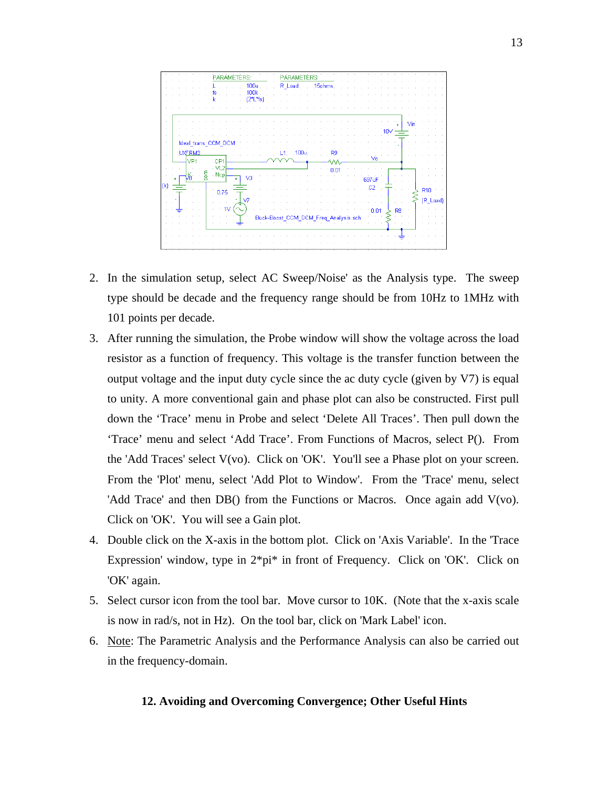

- 2. In the simulation setup, select AC Sweep/Noise' as the Analysis type. The sweep type should be decade and the frequency range should be from 10Hz to 1MHz with 101 points per decade.
- 3. After running the simulation, the Probe window will show the voltage across the load resistor as a function of frequency. This voltage is the transfer function between the output voltage and the input duty cycle since the ac duty cycle (given by V7) is equal to unity. A more conventional gain and phase plot can also be constructed. First pull down the 'Trace' menu in Probe and select 'Delete All Traces'. Then pull down the 'Trace' menu and select 'Add Trace'. From Functions of Macros, select P(). From the 'Add Traces' select V(vo). Click on 'OK'. You'll see a Phase plot on your screen. From the 'Plot' menu, select 'Add Plot to Window'. From the 'Trace' menu, select 'Add Trace' and then DB() from the Functions or Macros. Once again add V(vo). Click on 'OK'. You will see a Gain plot.
- 4. Double click on the X-axis in the bottom plot. Click on 'Axis Variable'. In the 'Trace Expression' window, type in 2\*pi\* in front of Frequency. Click on 'OK'. Click on 'OK' again.
- 5. Select cursor icon from the tool bar. Move cursor to 10K. (Note that the x-axis scale is now in rad/s, not in Hz). On the tool bar, click on 'Mark Label' icon.
- 6. Note: The Parametric Analysis and the Performance Analysis can also be carried out in the frequency-domain.

#### **12. Avoiding and Overcoming Convergence; Other Useful Hints**